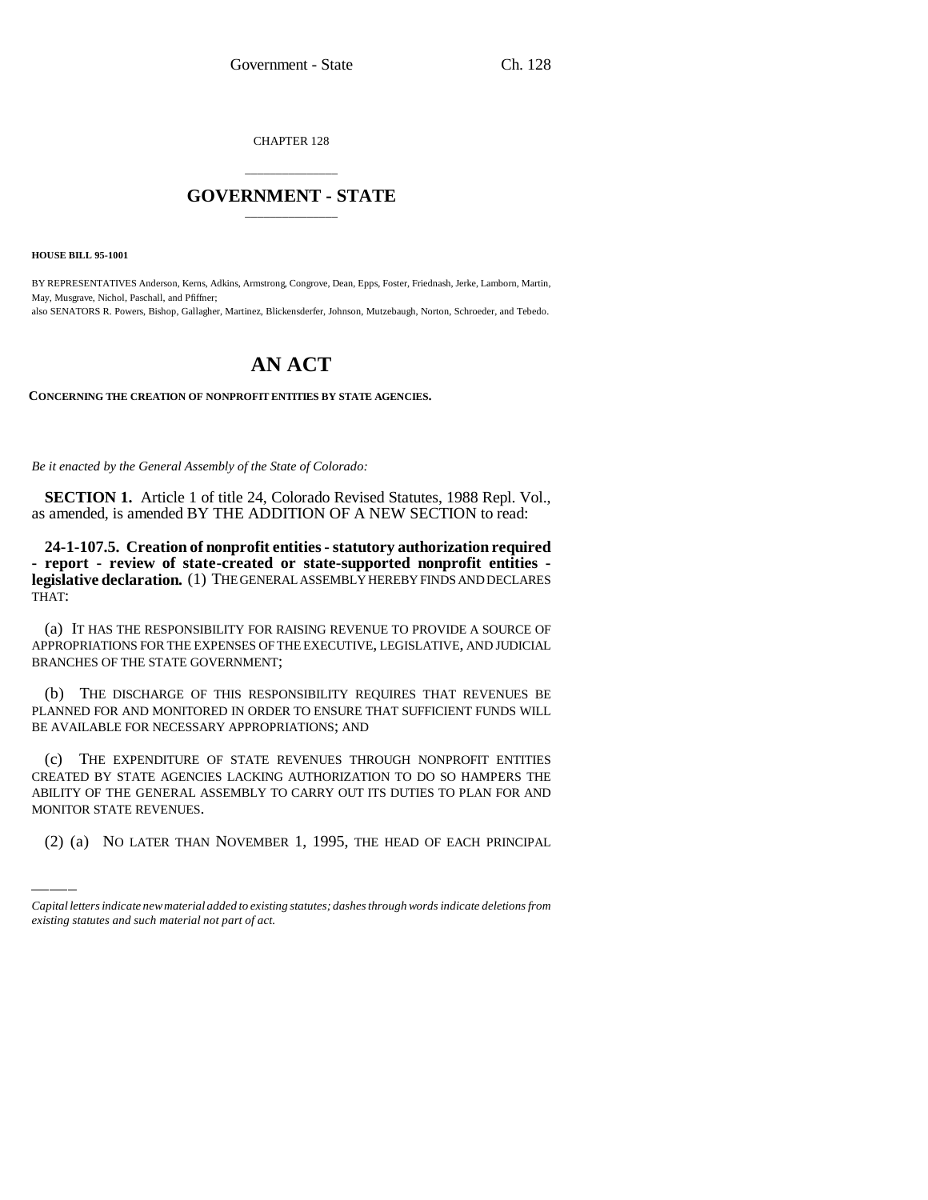CHAPTER 128

## \_\_\_\_\_\_\_\_\_\_\_\_\_\_\_ **GOVERNMENT - STATE** \_\_\_\_\_\_\_\_\_\_\_\_\_\_\_

**HOUSE BILL 95-1001**

BY REPRESENTATIVES Anderson, Kerns, Adkins, Armstrong, Congrove, Dean, Epps, Foster, Friednash, Jerke, Lamborn, Martin, May, Musgrave, Nichol, Paschall, and Pfiffner; also SENATORS R. Powers, Bishop, Gallagher, Martinez, Blickensderfer, Johnson, Mutzebaugh, Norton, Schroeder, and Tebedo.

## **AN ACT**

**CONCERNING THE CREATION OF NONPROFIT ENTITIES BY STATE AGENCIES.**

*Be it enacted by the General Assembly of the State of Colorado:*

**SECTION 1.** Article 1 of title 24, Colorado Revised Statutes, 1988 Repl. Vol., as amended, is amended BY THE ADDITION OF A NEW SECTION to read:

**24-1-107.5. Creation of nonprofit entities - statutory authorization required - report - review of state-created or state-supported nonprofit entities legislative declaration.** (1) THE GENERAL ASSEMBLY HEREBY FINDS AND DECLARES THAT:

(a) IT HAS THE RESPONSIBILITY FOR RAISING REVENUE TO PROVIDE A SOURCE OF APPROPRIATIONS FOR THE EXPENSES OF THE EXECUTIVE, LEGISLATIVE, AND JUDICIAL BRANCHES OF THE STATE GOVERNMENT;

(b) THE DISCHARGE OF THIS RESPONSIBILITY REQUIRES THAT REVENUES BE PLANNED FOR AND MONITORED IN ORDER TO ENSURE THAT SUFFICIENT FUNDS WILL BE AVAILABLE FOR NECESSARY APPROPRIATIONS; AND

CREATED BY STATE AGENCIES LACKING AUTHORIZATION TO DO SO HAMPERS THE (c) THE EXPENDITURE OF STATE REVENUES THROUGH NONPROFIT ENTITIES ABILITY OF THE GENERAL ASSEMBLY TO CARRY OUT ITS DUTIES TO PLAN FOR AND MONITOR STATE REVENUES.

(2) (a) NO LATER THAN NOVEMBER 1, 1995, THE HEAD OF EACH PRINCIPAL

*Capital letters indicate new material added to existing statutes; dashes through words indicate deletions from existing statutes and such material not part of act.*